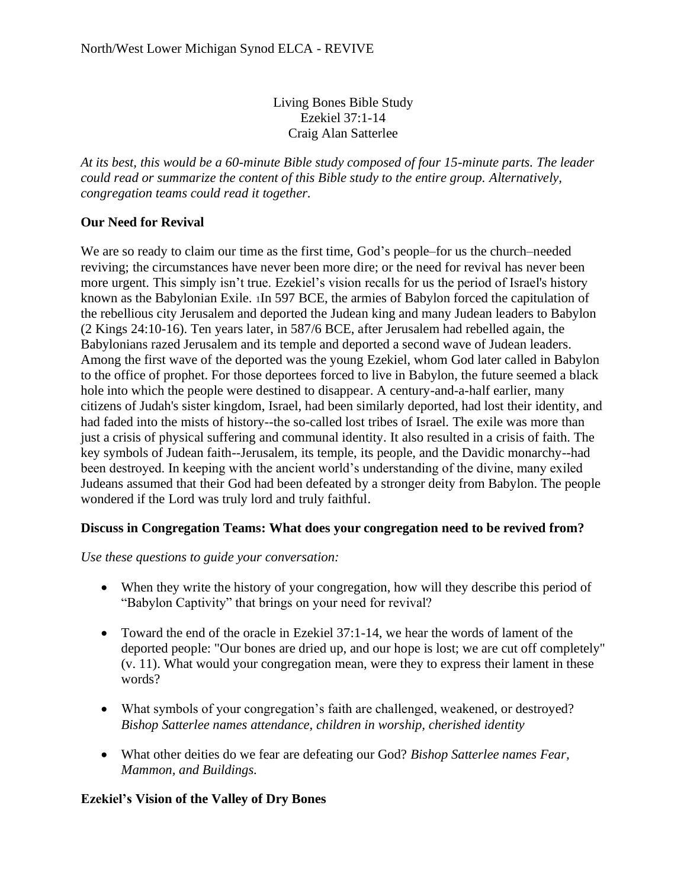Living Bones Bible Study Ezekiel 37:1-14 Craig Alan Satterlee

*At its best, this would be a 60-minute Bible study composed of four 15-minute parts. The leader could read or summarize the content of this Bible study to the entire group. Alternatively, congregation teams could read it together.*

## **Our Need for Revival**

We are so ready to claim our time as the first time, God's people–for us the church–needed reviving; the circumstances have never been more dire; or the need for revival has never been more urgent. This simply isn't true. Ezekiel's vision recalls for us the period of Israel's history known as the Babylonian Exile. <sup>1</sup>In 597 BCE, the armies of Babylon forced the capitulation of the rebellious city Jerusalem and deported the Judean king and many Judean leaders to Babylon (2 Kings 24:10-16). Ten years later, in 587/6 BCE, after Jerusalem had rebelled again, the Babylonians razed Jerusalem and its temple and deported a second wave of Judean leaders. Among the first wave of the deported was the young Ezekiel, whom God later called in Babylon to the office of prophet. For those deportees forced to live in Babylon, the future seemed a black hole into which the people were destined to disappear. A century-and-a-half earlier, many citizens of Judah's sister kingdom, Israel, had been similarly deported, had lost their identity, and had faded into the mists of history--the so-called lost tribes of Israel. The exile was more than just a crisis of physical suffering and communal identity. It also resulted in a crisis of faith. The key symbols of Judean faith--Jerusalem, its temple, its people, and the Davidic monarchy--had been destroyed. In keeping with the ancient world's understanding of the divine, many exiled Judeans assumed that their God had been defeated by a stronger deity from Babylon. The people wondered if the Lord was truly lord and truly faithful.

### **Discuss in Congregation Teams: What does your congregation need to be revived from?**

*Use these questions to guide your conversation:*

- When they write the history of your congregation, how will they describe this period of "Babylon Captivity" that brings on your need for revival?
- Toward the end of the oracle in Ezekiel 37:1-14, we hear the words of lament of the deported people: "Our bones are dried up, and our hope is lost; we are cut off completely" (v. 11). What would your congregation mean, were they to express their lament in these words?
- What symbols of your congregation's faith are challenged, weakened, or destroyed? *Bishop Satterlee names attendance, children in worship, cherished identity*
- What other deities do we fear are defeating our God? *Bishop Satterlee names Fear, Mammon, and Buildings.*

### **Ezekiel's Vision of the Valley of Dry Bones**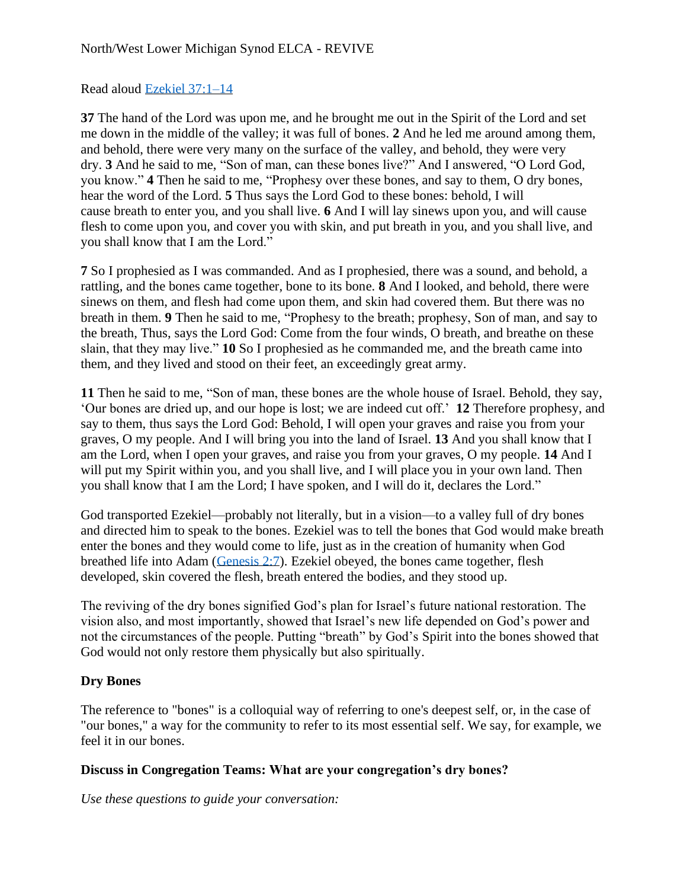## Read aloud [Ezekiel 37:1–14](https://biblia.com/bible/esv/Ezek%2037.1%E2%80%9314)

**37** The hand of the Lord was upon me, and he brought me out in the Spirit of the Lord and set me down in the middle of the valley; it was full of bones. **2** And he led me around among them, and behold, there were very many on the surface of the valley, and behold, they were very dry. **3** And he said to me, "Son of man, can these bones live?" And I answered, "O Lord God, you know." **4** Then he said to me, "Prophesy over these bones, and say to them, O dry bones, hear the word of the Lord. **5** Thus says the Lord God to these bones: behold, I will cause breath to enter you, and you shall live. **6** And I will lay sinews upon you, and will cause flesh to come upon you, and cover you with skin, and put breath in you, and you shall live, and you shall know that I am the Lord."

**7** So I prophesied as I was commanded. And as I prophesied, there was a sound, and behold, a rattling, and the bones came together, bone to its bone. **8** And I looked, and behold, there were sinews on them, and flesh had come upon them, and skin had covered them. But there was no breath in them. **9** Then he said to me, "Prophesy to the breath; prophesy, Son of man, and say to the breath, Thus, says the Lord God: Come from the four winds, O breath, and breathe on these slain, that they may live." **10** So I prophesied as he commanded me, and the breath came into them, and they lived and stood on their feet, an exceedingly great army.

**11** Then he said to me, "Son of man, these bones are the whole house of Israel. Behold, they say, 'Our bones are dried up, and our hope is lost; we are indeed cut off.' **12** Therefore prophesy, and say to them, thus says the Lord God: Behold, I will open your graves and raise you from your graves, O my people. And I will bring you into the land of Israel. **13** And you shall know that I am the Lord, when I open your graves, and raise you from your graves, O my people. **14** And I will put my Spirit within you, and you shall live, and I will place you in your own land. Then you shall know that I am the Lord; I have spoken, and I will do it, declares the Lord."

God transported Ezekiel—probably not literally, but in a vision—to a valley full of dry bones and directed him to speak to the bones. Ezekiel was to tell the bones that God would make breath enter the bones and they would come to life, just as in the creation of humanity when God breathed life into Adam [\(Genesis 2:7\)](https://biblia.com/bible/esv/Gen%202.7). Ezekiel obeyed, the bones came together, flesh developed, skin covered the flesh, breath entered the bodies, and they stood up.

The reviving of the dry bones signified God's plan for Israel's future national restoration. The vision also, and most importantly, showed that Israel's new life depended on God's power and not the circumstances of the people. Putting "breath" by God's Spirit into the bones showed that God would not only restore them physically but also spiritually.

# **Dry Bones**

The reference to "bones" is a colloquial way of referring to one's deepest self, or, in the case of "our bones," a way for the community to refer to its most essential self. We say, for example, we feel it in our bones.

### **Discuss in Congregation Teams: What are your congregation's dry bones?**

*Use these questions to guide your conversation:*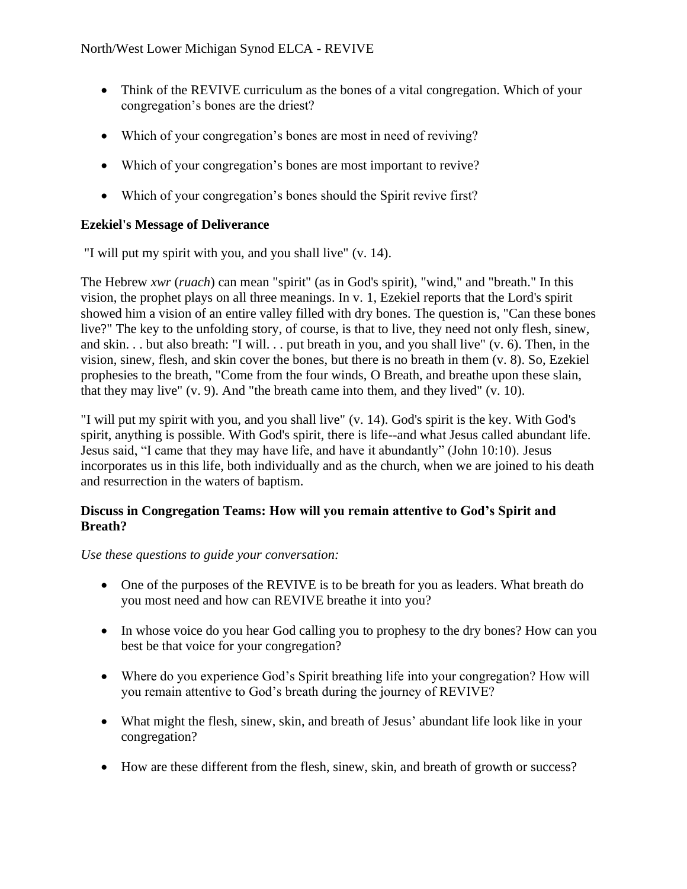- Think of the REVIVE curriculum as the bones of a vital congregation. Which of your congregation's bones are the driest?
- Which of your congregation's bones are most in need of reviving?
- Which of your congregation's bones are most important to revive?
- Which of your congregation's bones should the Spirit revive first?

### **Ezekiel's Message of Deliverance**

"I will put my spirit with you, and you shall live" (v. 14).

The Hebrew *xwr* (*ruach*) can mean "spirit" (as in God's spirit), "wind," and "breath." In this vision, the prophet plays on all three meanings. In v. 1, Ezekiel reports that the Lord's spirit showed him a vision of an entire valley filled with dry bones. The question is, "Can these bones live?" The key to the unfolding story, of course, is that to live, they need not only flesh, sinew, and skin. . . but also breath: "I will. . . put breath in you, and you shall live" (v. 6). Then, in the vision, sinew, flesh, and skin cover the bones, but there is no breath in them (v. 8). So, Ezekiel prophesies to the breath, "Come from the four winds, O Breath, and breathe upon these slain, that they may live" (v. 9). And "the breath came into them, and they lived" (v. 10).

"I will put my spirit with you, and you shall live" (v. 14). God's spirit is the key. With God's spirit, anything is possible. With God's spirit, there is life--and what Jesus called abundant life. Jesus said, "I came that they may have life, and have it abundantly" (John 10:10). Jesus incorporates us in this life, both individually and as the church, when we are joined to his death and resurrection in the waters of baptism.

#### **Discuss in Congregation Teams: How will you remain attentive to God's Spirit and Breath?**

*Use these questions to guide your conversation:*

- One of the purposes of the REVIVE is to be breath for you as leaders. What breath do you most need and how can REVIVE breathe it into you?
- In whose voice do you hear God calling you to prophesy to the dry bones? How can you best be that voice for your congregation?
- Where do you experience God's Spirit breathing life into your congregation? How will you remain attentive to God's breath during the journey of REVIVE?
- What might the flesh, sinew, skin, and breath of Jesus' abundant life look like in your congregation?
- How are these different from the flesh, sinew, skin, and breath of growth or success?